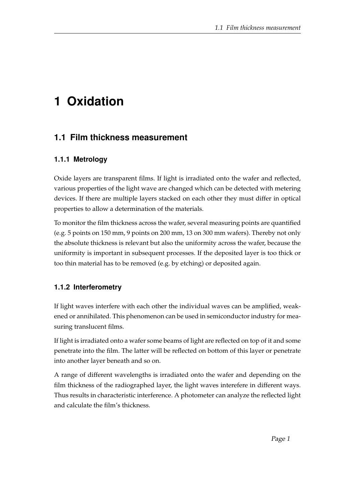# **1 Oxidation**

# **1.1 Film thickness measurement**

## **1.1.1 Metrology**

Oxide layers are transparent films. If light is irradiated onto the wafer and reflected, various properties of the light wave are changed which can be detected with metering devices. If there are multiple layers stacked on each other they must differ in optical properties to allow a determination of the materials.

To monitor the film thickness across the wafer, several measuring points are quantified (e.g. 5 points on 150 mm, 9 points on 200 mm, 13 on 300 mm wafers). Thereby not only the absolute thickness is relevant but also the uniformity across the wafer, because the uniformity is important in subsequent processes. If the deposited layer is too thick or too thin material has to be removed (e.g. by etching) or deposited again.

#### **1.1.2 Interferometry**

If light waves interfere with each other the individual waves can be amplified, weakened or annihilated. This phenomenon can be used in semiconductor industry for measuring translucent films.

If light is irradiated onto a wafer some beams of light are reflected on top of it and some penetrate into the film. The latter will be reflected on bottom of this layer or penetrate into another layer beneath and so on.

A range of different wavelengths is irradiated onto the wafer and depending on the film thickness of the radiographed layer, the light waves interefere in different ways. Thus results in characteristic interference. A photometer can analyze the reflected light and calculate the film's thickness.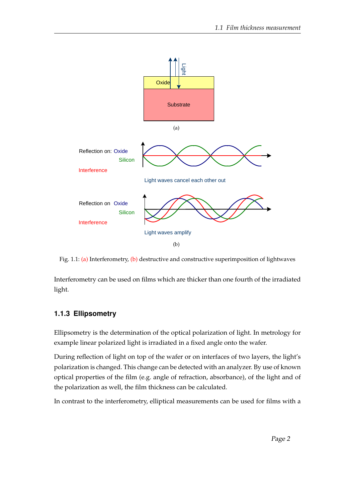<span id="page-1-1"></span><span id="page-1-0"></span>

Fig. 1.1: [\(a\)](#page-1-0) Interferometry, [\(b\)](#page-1-1) destructive and constructive superimposition of lightwaves

Interferometry can be used on films which are thicker than one fourth of the irradiated light.

#### **1.1.3 Ellipsometry**

Ellipsometry is the determination of the optical polarization of light. In metrology for example linear polarized light is irradiated in a fixed angle onto the wafer.

During reflection of light on top of the wafer or on interfaces of two layers, the light's polarization is changed. This change can be detected with an analyzer. By use of known optical properties of the film (e.g. angle of refraction, absorbance), of the light and of the polarization as well, the film thickness can be calculated.

In contrast to the interferometry, elliptical measurements can be used for films with a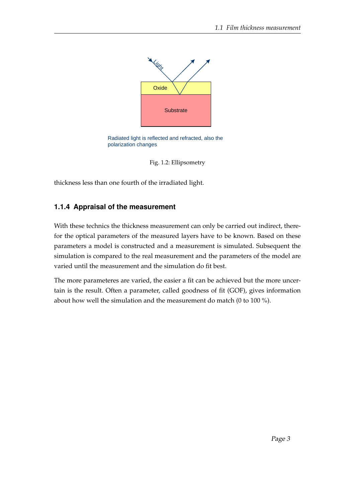

Radiated light is reflected and refracted, also the polarization changes



thickness less than one fourth of the irradiated light.

## **1.1.4 Appraisal of the measurement**

With these technics the thickness measurement can only be carried out indirect, therefor the optical parameters of the measured layers have to be known. Based on these parameters a model is constructed and a measurement is simulated. Subsequent the simulation is compared to the real measurement and the parameters of the model are varied until the measurement and the simulation do fit best.

The more parameteres are varied, the easier a fit can be achieved but the more uncertain is the result. Often a parameter, called goodness of fit (GOF), gives information about how well the simulation and the measurement do match (0 to 100 %).